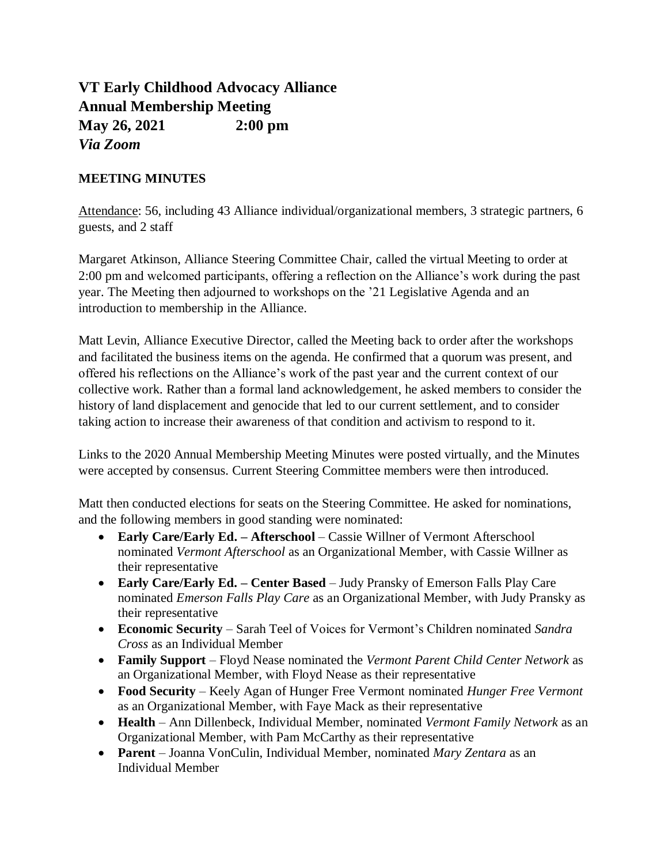## **VT Early Childhood Advocacy Alliance Annual Membership Meeting May 26, 2021 2:00 pm** *Via Zoom*

## **MEETING MINUTES**

Attendance: 56, including 43 Alliance individual/organizational members, 3 strategic partners, 6 guests, and 2 staff

Margaret Atkinson, Alliance Steering Committee Chair, called the virtual Meeting to order at 2:00 pm and welcomed participants, offering a reflection on the Alliance's work during the past year. The Meeting then adjourned to workshops on the '21 Legislative Agenda and an introduction to membership in the Alliance.

Matt Levin, Alliance Executive Director, called the Meeting back to order after the workshops and facilitated the business items on the agenda. He confirmed that a quorum was present, and offered his reflections on the Alliance's work of the past year and the current context of our collective work. Rather than a formal land acknowledgement, he asked members to consider the history of land displacement and genocide that led to our current settlement, and to consider taking action to increase their awareness of that condition and activism to respond to it.

Links to the 2020 Annual Membership Meeting Minutes were posted virtually, and the Minutes were accepted by consensus. Current Steering Committee members were then introduced.

Matt then conducted elections for seats on the Steering Committee. He asked for nominations, and the following members in good standing were nominated:

- **Early Care/Early Ed. – Afterschool** Cassie Willner of Vermont Afterschool nominated *Vermont Afterschool* as an Organizational Member, with Cassie Willner as their representative
- **Early Care/Early Ed. – Center Based** Judy Pransky of Emerson Falls Play Care nominated *Emerson Falls Play Care* as an Organizational Member, with Judy Pransky as their representative
- **Economic Security** Sarah Teel of Voices for Vermont's Children nominated *Sandra Cross* as an Individual Member
- **Family Support** Floyd Nease nominated the *Vermont Parent Child Center Network* as an Organizational Member, with Floyd Nease as their representative
- **Food Security** Keely Agan of Hunger Free Vermont nominated *Hunger Free Vermont* as an Organizational Member, with Faye Mack as their representative
- **Health** Ann Dillenbeck, Individual Member, nominated *Vermont Family Network* as an Organizational Member, with Pam McCarthy as their representative
- **Parent** Joanna VonCulin, Individual Member, nominated *Mary Zentara* as an Individual Member